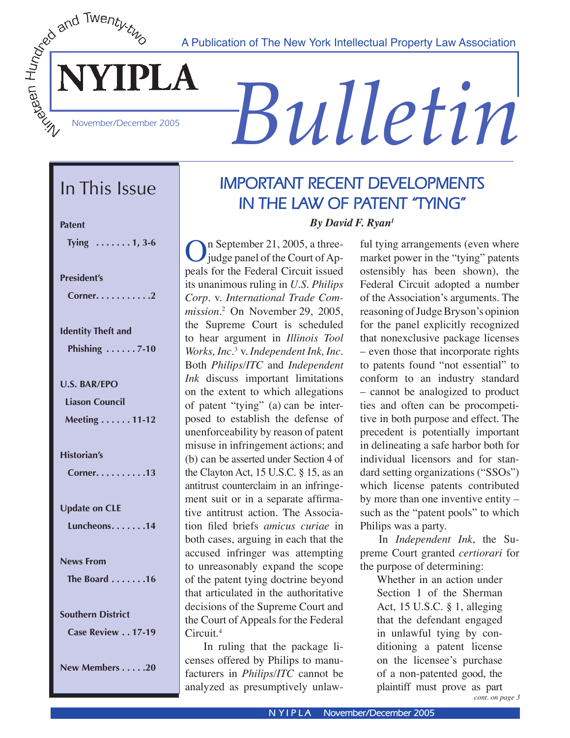A Publication of The New York Intellectual Property Law Association



# *Bulletin*

# In This Issue

| <b>Patent</b><br>Tying $\dots \dots 1, 3-6$                   |
|---------------------------------------------------------------|
| <b>President's</b><br>Corner. 2                               |
| <b>Identity Theft and</b><br>Phishing $\ldots \ldots$ 7-10    |
| <b>U.S. BAR/EPO</b><br><b>Liason Council</b><br>Meeting 11-12 |
| <b>Historian's</b><br>Corner. 13                              |
| <b>Update on CLE</b><br>Luncheons14                           |
| <b>News From</b><br>The Board 16                              |
| <b>Southern District</b><br>Case Review 17-19                 |

**New Members . . . . .20**

# **IMPORTANT RECENT DEVELOPMENTS IN THE LAW OF PATENT "TYING"**

*By David F. Ryan1*

On September 21, 2005, a three-<br>judge panel of the Court of Ap-<br>pack for the Eadaral Circuit issued peals for the Federal Circuit issued its unanimous ruling in *U.S. Philips Corp*. v. *International Trade Commission*. 2 On November 29, 2005, the Supreme Court is scheduled to hear argument in *Illinois Tool Works, Inc*. <sup>3</sup> v. *Independent Ink, Inc*. Both *Philips/ITC* and *Independent Ink* discuss important limitations on the extent to which allegations of patent "tying" (a) can be interposed to establish the defense of unenforceability by reason of patent misuse in infringement actions; and (b) can be asserted under Section 4 of the Clayton Act, 15 U.S.C. § 15, as an antitrust counterclaim in an infringement suit or in a separate affirmative antitrust action. The Association filed briefs *amicus curiae* in both cases, arguing in each that the accused infringer was attempting to unreasonably expand the scope of the patent tying doctrine beyond that articulated in the authoritative decisions of the Supreme Court and the Court of Appeals for the Federal Circuit.4

 In ruling that the package licenses offered by Philips to manufacturers in *Philips/ITC* cannot be analyzed as presumptively unlaw-

ful tying arrangements (even where market power in the "tying" patents ostensibly has been shown), the Federal Circuit adopted a number of the Association's arguments. The reasoning of Judge Bryson's opinion for the panel explicitly recognized that nonexclusive package licenses – even those that incorporate rights to patents found "not essential" to conform to an industry standard – cannot be analogized to product ties and often can be procompetitive in both purpose and effect. The precedent is potentially important in delineating a safe harbor both for individual licensors and for standard setting organizations ("SSOs") which license patents contributed by more than one inventive entity – such as the "patent pools" to which Philips was a party.

 In *Independent Ink*, the Supreme Court granted *certiorari* for the purpose of determining:

Whether in an action under Section 1 of the Sherman Act, 15 U.S.C. § 1, alleging that the defendant engaged in unlawful tying by conditioning a patent license on the licensee's purchase of a non-patented good, the plaintiff must prove as part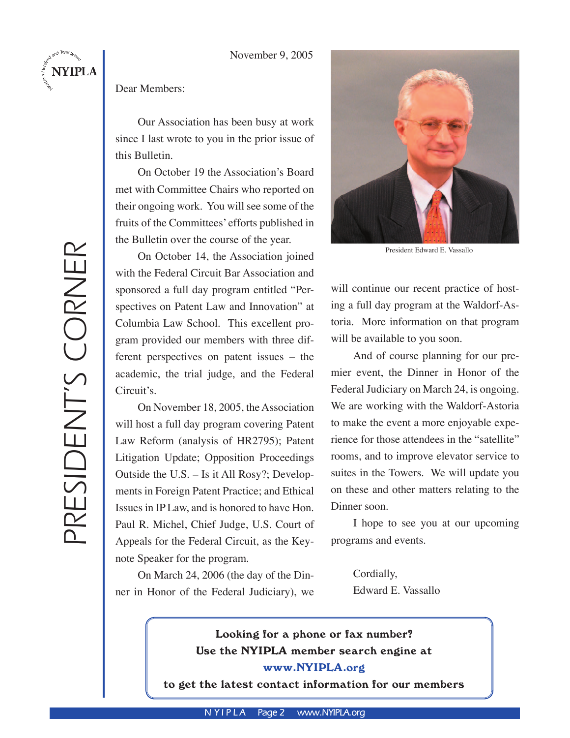#### November 9, 2005

## Dear Members:

Our Association has been busy at work since I last wrote to you in the prior issue of this Bulletin.

On October 19 the Association's Board met with Committee Chairs who reported on their ongoing work. You will see some of the fruits of the Committees' efforts published in the Bulletin over the course of the year.

On October 14, the Association joined with the Federal Circuit Bar Association and sponsored a full day program entitled "Perspectives on Patent Law and Innovation" at Columbia Law School. This excellent program provided our members with three different perspectives on patent issues – the academic, the trial judge, and the Federal Circuit's.

On November 18, 2005, the Association will host a full day program covering Patent Law Reform (analysis of HR2795); Patent Litigation Update; Opposition Proceedings Outside the U.S. – Is it All Rosy?; Developments in Foreign Patent Practice; and Ethical Issues in IP Law, and is honored to have Hon. Paul R. Michel, Chief Judge, U.S. Court of Appeals for the Federal Circuit, as the Keynote Speaker for the program.

On March 24, 2006 (the day of the Dinner in Honor of the Federal Judiciary), we



President Edward E. Vassallo

will continue our recent practice of hosting a full day program at the Waldorf-Astoria. More information on that program will be available to you soon.

And of course planning for our premier event, the Dinner in Honor of the Federal Judiciary on March 24, is ongoing. We are working with the Waldorf-Astoria to make the event a more enjoyable experience for those attendees in the "satellite" rooms, and to improve elevator service to suites in the Towers. We will update you on these and other matters relating to the Dinner soon.

I hope to see you at our upcoming programs and events.

Cordially, Edward E. Vassallo

# Looking for a phone or fax number? Use the NYIPLA member search engine at www.NYIPLA.org

to get the latest contact information for our members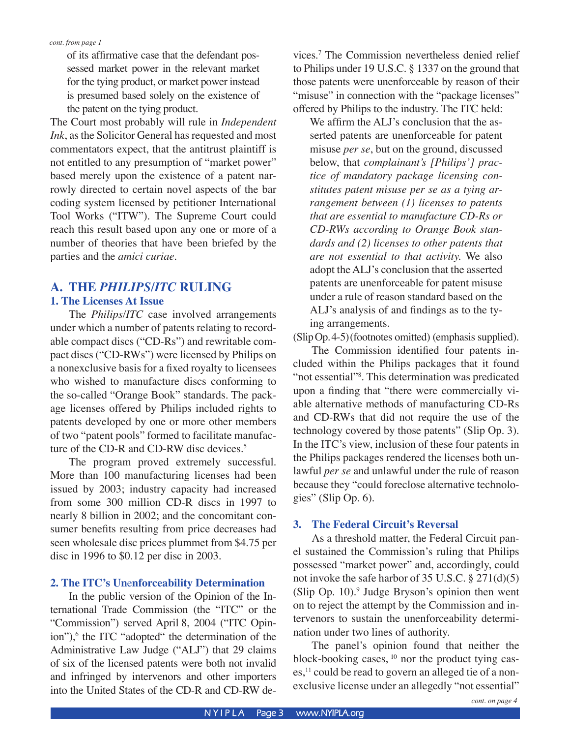of its affirmative case that the defendant possessed market power in the relevant market for the tying product, or market power instead is presumed based solely on the existence of the patent on the tying product.

The Court most probably will rule in *Independent Ink*, as the Solicitor General has requested and most commentators expect, that the antitrust plaintiff is not entitled to any presumption of "market power" based merely upon the existence of a patent narrowly directed to certain novel aspects of the bar coding system licensed by petitioner International Tool Works ("ITW"). The Supreme Court could reach this result based upon any one or more of a number of theories that have been briefed by the parties and the *amici curiae*.

# **A. THE** *PHILIPS***/***ITC* **RULING**

#### **1. The Licenses At Issue**

 The *Philips/ITC* case involved arrangements under which a number of patents relating to recordable compact discs ("CD-Rs") and rewritable compact discs ("CD-RWs") were licensed by Philips on a nonexclusive basis for a fixed royalty to licensees who wished to manufacture discs conforming to the so-called "Orange Book" standards. The package licenses offered by Philips included rights to patents developed by one or more other members of two "patent pools" formed to facilitate manufacture of the CD-R and CD-RW disc devices.<sup>5</sup>

 The program proved extremely successful. More than 100 manufacturing licenses had been issued by 2003; industry capacity had increased from some 300 million CD-R discs in 1997 to nearly 8 billion in 2002; and the concomitant consumer benefits resulting from price decreases had seen wholesale disc prices plummet from \$4.75 per disc in 1996 to \$0.12 per disc in 2003.

#### **2. The ITC's Un**e**nforceability Determination**

In the public version of the Opinion of the International Trade Commission (the "ITC" or the "Commission") served April 8, 2004 ("ITC Opinion"),<sup>6</sup> the ITC "adopted" the determination of the Administrative Law Judge ("ALJ") that 29 claims of six of the licensed patents were both not invalid and infringed by intervenors and other importers into the United States of the CD-R and CD-RW de-

vices.7 The Commission nevertheless denied relief to Philips under 19 U.S.C. § 1337 on the ground that those patents were unenforceable by reason of their "misuse" in connection with the "package licenses" offered by Philips to the industry. The ITC held:

We affirm the ALJ's conclusion that the asserted patents are unenforceable for patent misuse *per se*, but on the ground, discussed below, that *complainant's [Philips'] practice of mandatory package licensing constitutes patent misuse per se as a tying arrangement between (1) licenses to patents that are essential to manufacture CD-Rs or CD-RWs according to Orange Book standards and (2) licenses to other patents that are not essential to that activity.* We also adopt the ALJ's conclusion that the asserted patents are unenforceable for patent misuse under a rule of reason standard based on the ALJ's analysis of and findings as to the tying arrangements.

(SlipOp.4-5)(footnotes omitted) (emphasis supplied).

 The Commission identified four patents included within the Philips packages that it found "not essential"<sup>8</sup>. This determination was predicated upon a finding that "there were commercially viable alternative methods of manufacturing CD-Rs and CD-RWs that did not require the use of the technology covered by those patents" (Slip Op. 3). In the ITC's view, inclusion of these four patents in the Philips packages rendered the licenses both unlawful *per se* and unlawful under the rule of reason because they "could foreclose alternative technologies" (Slip Op. 6).

#### **3. The Federal Circuit's Reversal**

 As a threshold matter, the Federal Circuit panel sustained the Commission's ruling that Philips possessed "market power" and, accordingly, could not invoke the safe harbor of 35 U.S.C. § 271(d)(5)  $(Slip Op. 10)<sup>9</sup>$  Judge Bryson's opinion then went on to reject the attempt by the Commission and intervenors to sustain the unenforceability determination under two lines of authority.

 The panel's opinion found that neither the block-booking cases,  $10$  nor the product tying cases,<sup>11</sup> could be read to govern an alleged tie of a nonexclusive license under an allegedly "not essential"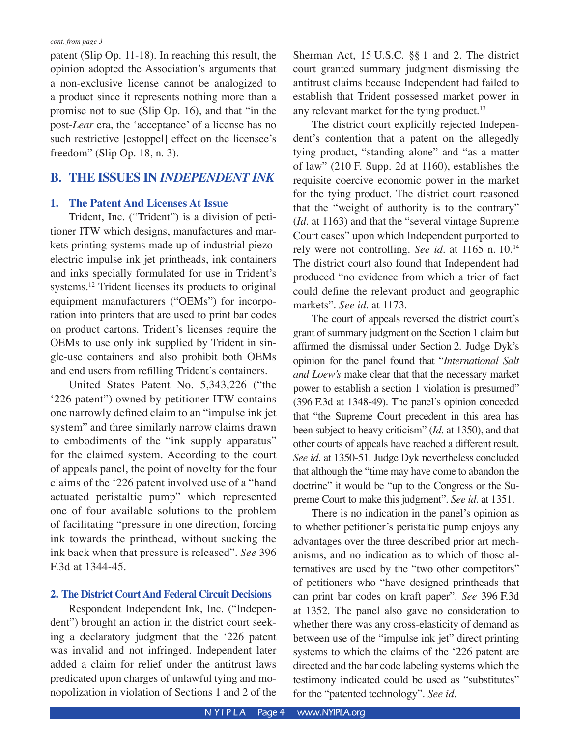patent (Slip Op. 11-18). In reaching this result, the opinion adopted the Association's arguments that a non-exclusive license cannot be analogized to a product since it represents nothing more than a promise not to sue (Slip Op. 16), and that "in the post-*Lear* era, the ʻacceptance' of a license has no such restrictive [estoppel] effect on the licensee's freedom" (Slip Op. 18, n. 3).

## **B. THE ISSUES IN** *INDEPENDENT INK*

#### **1. The Patent And Licenses At Issue**

 Trident, Inc. ("Trident") is a division of petitioner ITW which designs, manufactures and markets printing systems made up of industrial piezoelectric impulse ink jet printheads, ink containers and inks specially formulated for use in Trident's systems.12 Trident licenses its products to original equipment manufacturers ("OEMs") for incorporation into printers that are used to print bar codes on product cartons. Trident's licenses require the OEMs to use only ink supplied by Trident in single-use containers and also prohibit both OEMs and end users from refilling Trident's containers.

United States Patent No. 5,343,226 ("the ʻ226 patent") owned by petitioner ITW contains one narrowly defined claim to an "impulse ink jet system" and three similarly narrow claims drawn to embodiments of the "ink supply apparatus" for the claimed system. According to the court of appeals panel, the point of novelty for the four claims of the ʻ226 patent involved use of a "hand actuated peristaltic pump" which represented one of four available solutions to the problem of facilitating "pressure in one direction, forcing ink towards the printhead, without sucking the ink back when that pressure is released". *See* 396 F.3d at 1344-45.

#### **2. The District Court And Federal Circuit Decisions**

 Respondent Independent Ink, Inc. ("Independent") brought an action in the district court seeking a declaratory judgment that the ʻ226 patent was invalid and not infringed. Independent later added a claim for relief under the antitrust laws predicated upon charges of unlawful tying and monopolization in violation of Sections 1 and 2 of the Sherman Act, 15 U.S.C. §§ 1 and 2. The district court granted summary judgment dismissing the antitrust claims because Independent had failed to establish that Trident possessed market power in any relevant market for the tying product.<sup>13</sup>

 The district court explicitly rejected Independent's contention that a patent on the allegedly tying product, "standing alone" and "as a matter of law" (210 F. Supp. 2d at 1160), establishes the requisite coercive economic power in the market for the tying product. The district court reasoned that the "weight of authority is to the contrary" (*Id*. at 1163) and that the "several vintage Supreme Court cases" upon which Independent purported to rely were not controlling. *See id*. at 1165 n. 10.14 The district court also found that Independent had produced "no evidence from which a trier of fact could define the relevant product and geographic markets". *See id*. at 1173.

 The court of appeals reversed the district court's grant of summary judgment on the Section 1 claim but affirmed the dismissal under Section 2. Judge Dyk's opinion for the panel found that "*International Salt and Loew's* make clear that that the necessary market power to establish a section 1 violation is presumed" (396 F.3d at 1348-49). The panel's opinion conceded that "the Supreme Court precedent in this area has been subject to heavy criticism" (*Id*. at 1350), and that other courts of appeals have reached a different result. *See id*. at 1350-51. Judge Dyk nevertheless concluded that although the "time may have come to abandon the doctrine" it would be "up to the Congress or the Supreme Court to make this judgment". *See id*. at 1351.

There is no indication in the panel's opinion as to whether petitioner's peristaltic pump enjoys any advantages over the three described prior art mechanisms, and no indication as to which of those alternatives are used by the "two other competitors" of petitioners who "have designed printheads that can print bar codes on kraft paper". *See* 396 F.3d at 1352. The panel also gave no consideration to whether there was any cross-elasticity of demand as between use of the "impulse ink jet" direct printing systems to which the claims of the ʻ226 patent are directed and the bar code labeling systems which the testimony indicated could be used as "substitutes" for the "patented technology". *See id*.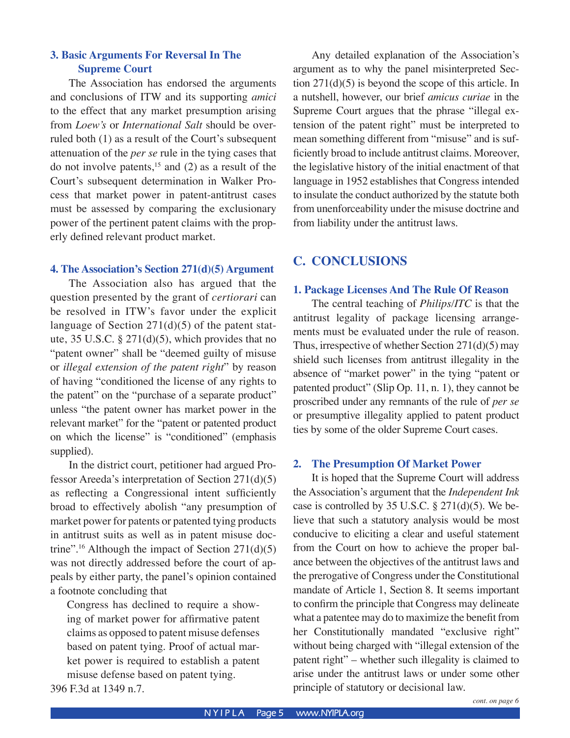## **3. Basic Arguments For Reversal In The Supreme Court**

 The Association has endorsed the arguments and conclusions of ITW and its supporting *amici* to the effect that any market presumption arising from *Loew's* or *International Salt* should be overruled both (1) as a result of the Court's subsequent attenuation of the *per se* rule in the tying cases that do not involve patents, $^{15}$  and (2) as a result of the Court's subsequent determination in Walker Process that market power in patent-antitrust cases must be assessed by comparing the exclusionary power of the pertinent patent claims with the properly defined relevant product market.

#### **4. The Association's Section 271(d)(5) Argument**

The Association also has argued that the question presented by the grant of *certiorari* can be resolved in ITW's favor under the explicit language of Section 271(d)(5) of the patent statute, 35 U.S.C. § 271(d)(5), which provides that no "patent owner" shall be "deemed guilty of misuse or *illegal extension of the patent right*" by reason of having "conditioned the license of any rights to the patent" on the "purchase of a separate product" unless "the patent owner has market power in the relevant market" for the "patent or patented product on which the license" is "conditioned" (emphasis supplied).

 In the district court, petitioner had argued Professor Areeda's interpretation of Section 271(d)(5) as reflecting a Congressional intent sufficiently broad to effectively abolish "any presumption of market power for patents or patented tying products in antitrust suits as well as in patent misuse doctrine".<sup>16</sup> Although the impact of Section  $271(d)(5)$ was not directly addressed before the court of appeals by either party, the panel's opinion contained a footnote concluding that

Congress has declined to require a showing of market power for affirmative patent claims as opposed to patent misuse defenses based on patent tying. Proof of actual market power is required to establish a patent misuse defense based on patent tying.

396 F.3d at 1349 n.7.

Any detailed explanation of the Association's argument as to why the panel misinterpreted Section 271(d)(5) is beyond the scope of this article. In a nutshell, however, our brief *amicus curiae* in the Supreme Court argues that the phrase "illegal extension of the patent right" must be interpreted to mean something different from "misuse" and is sufficiently broad to include antitrust claims. Moreover, the legislative history of the initial enactment of that language in 1952 establishes that Congress intended to insulate the conduct authorized by the statute both from unenforceability under the misuse doctrine and from liability under the antitrust laws.

## **C. CONCLUSIONS**

#### **1. Package Licenses And The Rule Of Reason**

 The central teaching of *Philips/ITC* is that the antitrust legality of package licensing arrangements must be evaluated under the rule of reason. Thus, irrespective of whether Section 271(d)(5) may shield such licenses from antitrust illegality in the absence of "market power" in the tying "patent or patented product" (Slip Op. 11, n. 1), they cannot be proscribed under any remnants of the rule of *per se* or presumptive illegality applied to patent product ties by some of the older Supreme Court cases.

#### **2. The Presumption Of Market Power**

It is hoped that the Supreme Court will address the Association's argument that the *Independent Ink* case is controlled by 35 U.S.C. § 271(d)(5). We believe that such a statutory analysis would be most conducive to eliciting a clear and useful statement from the Court on how to achieve the proper balance between the objectives of the antitrust laws and the prerogative of Congress under the Constitutional mandate of Article 1, Section 8. It seems important to confirm the principle that Congress may delineate what a patentee may do to maximize the benefit from her Constitutionally mandated "exclusive right" without being charged with "illegal extension of the patent right" – whether such illegality is claimed to arise under the antitrust laws or under some other principle of statutory or decisional law.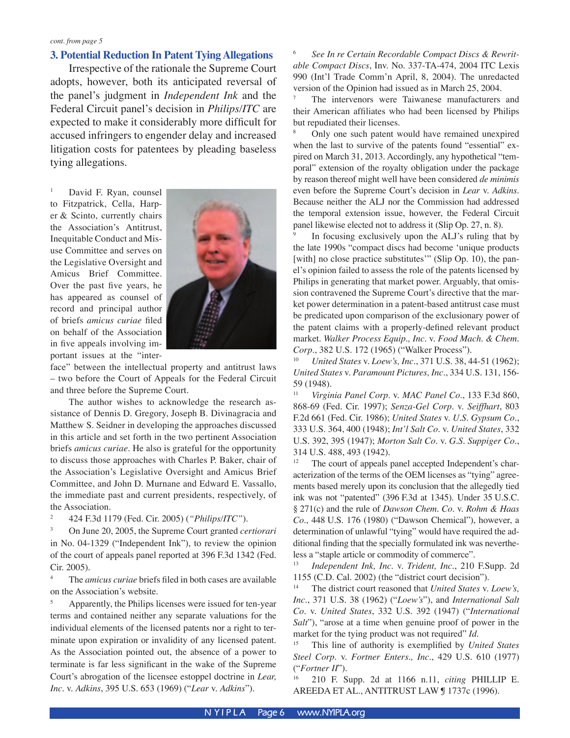#### **3. Potential Reduction In Patent Tying Allegations**

 Irrespective of the rationale the Supreme Court adopts, however, both its anticipated reversal of the panel's judgment in *Independent Ink* and the Federal Circuit panel's decision in *Philips/ITC* are expected to make it considerably more difficult for accused infringers to engender delay and increased litigation costs for patentees by pleading baseless tying allegations.

1 David F. Ryan, counsel to Fitzpatrick, Cella, Harper & Scinto, currently chairs the Association's Antitrust, Inequitable Conduct and Misuse Committee and serves on the Legislative Oversight and Amicus Brief Committee. Over the past five years, he has appeared as counsel of record and principal author of briefs *amicus curiae* filed on behalf of the Association in five appeals involving important issues at the "inter-



face" between the intellectual property and antitrust laws – two before the Court of Appeals for the Federal Circuit and three before the Supreme Court.

 The author wishes to acknowledge the research assistance of Dennis D. Gregory, Joseph B. Divinagracia and Matthew S. Seidner in developing the approaches discussed in this article and set forth in the two pertinent Association briefs *amicus curiae*. He also is grateful for the opportunity to discuss those approaches with Charles P. Baker, chair of the Association's Legislative Oversight and Amicus Brief Committee, and John D. Murnane and Edward E. Vassallo, the immediate past and current presidents, respectively, of the Association.

2 424 F.3d 1179 (Fed. Cir. 2005) (*"Philips/ITC"*).

3 On June 20, 2005, the Supreme Court granted *certiorari* in No. 04-1329 ("Independent Ink"), to review the opinion of the court of appeals panel reported at 396 F.3d 1342 (Fed. Cir. 2005).

4 The *amicus curiae* briefs filed in both cases are available on the Association's website.

5 Apparently, the Philips licenses were issued for ten-year terms and contained neither any separate valuations for the individual elements of the licensed patents nor a right to terminate upon expiration or invalidity of any licensed patent. As the Association pointed out, the absence of a power to terminate is far less significant in the wake of the Supreme Court's abrogation of the licensee estoppel doctrine in *Lear, Inc*. v. *Adkins*, 395 U.S. 653 (1969) ("*Lear* v. *Adkins*").

6 *See In re Certain Recordable Compact Discs & Rewritable Compact Discs*, Inv. No. 337-TA-474, 2004 ITC Lexis 990 (Int'l Trade Comm'n April, 8, 2004). The unredacted version of the Opinion had issued as in March 25, 2004.

7 The intervenors were Taiwanese manufacturers and their American affiliates who had been licensed by Philips but repudiated their licenses.

8 Only one such patent would have remained unexpired when the last to survive of the patents found "essential" expired on March 31, 2013. Accordingly, any hypothetical "temporal" extension of the royalty obligation under the package by reason thereof might well have been considered *de minimis* even before the Supreme Court's decision in *Lear* v. *Adkins*. Because neither the ALJ nor the Commission had addressed the temporal extension issue, however, the Federal Circuit panel likewise elected not to address it (Slip Op. 27, n. 8).

9 In focusing exclusively upon the ALJ's ruling that by the late 1990s "compact discs had become ʻunique products [with] no close practice substitutes'" (Slip Op. 10), the panel's opinion failed to assess the role of the patents licensed by Philips in generating that market power. Arguably, that omission contravened the Supreme Court's directive that the market power determination in a patent-based antitrust case must be predicated upon comparison of the exclusionary power of the patent claims with a properly-defined relevant product market. *Walker Process Equip., Inc*. v. *Food Mach. & Chem. Corp*., 382 U.S. 172 (1965) ("Walker Process").

10 *United States* v. *Loew's, Inc*., 371 U.S. 38, 44-51 (1962); *United States* v. *Paramount Pictures, Inc*., 334 U.S. 131, 156- 59 (1948).

11 *Virginia Panel Corp*. v. *MAC Panel Co*., 133 F.3d 860, 868-69 (Fed. Cir. 1997); *Senza-Gel Corp*. v. *Seiffhart*, 803 F.2d 661 (Fed. Cir. 1986); *United States* v. *U.S. Gypsum Co*., 333 U.S. 364, 400 (1948); *Int'l Salt Co*. v. *United States*, 332 U.S. 392, 395 (1947); *Morton Salt Co*. v. *G.S. Suppiger Co*., 314 U.S. 488, 493 (1942).

<sup>12</sup> The court of appeals panel accepted Independent's characterization of the terms of the OEM licenses as "tying" agreements based merely upon its conclusion that the allegedly tied ink was not "patented" (396 F.3d at 1345). Under 35 U.S.C. § 271(c) and the rule of *Dawson Chem. Co*. v. *Rohm & Haas Co*., 448 U.S. 176 (1980) ("Dawson Chemical"), however, a determination of unlawful "tying" would have required the additional finding that the specially formulated ink was nevertheless a "staple article or commodity of commerce".

13 *Independent Ink, Inc*. v. *Trident, Inc*., 210 F.Supp. 2d 1155 (C.D. Cal. 2002) (the "district court decision").

14 The district court reasoned that *United States* v. *Loew's, Inc*., 371 U.S. 38 (1962) ("*Loew's*"), and *International Salt Co*. v. *United States*, 332 U.S. 392 (1947) ("*International Salt*"), "arose at a time when genuine proof of power in the market for the tying product was not required" *Id.*

15 This line of authority is exemplified by *United States Steel Corp*. v. *Fortner Enters., Inc*., 429 U.S. 610 (1977) ("*Fortner II*").

16 210 F. Supp. 2d at 1166 n.11, *citing* PHILLIP E. AREEDA ET AL., ANTITRUST LAW ¶ 1737c (1996).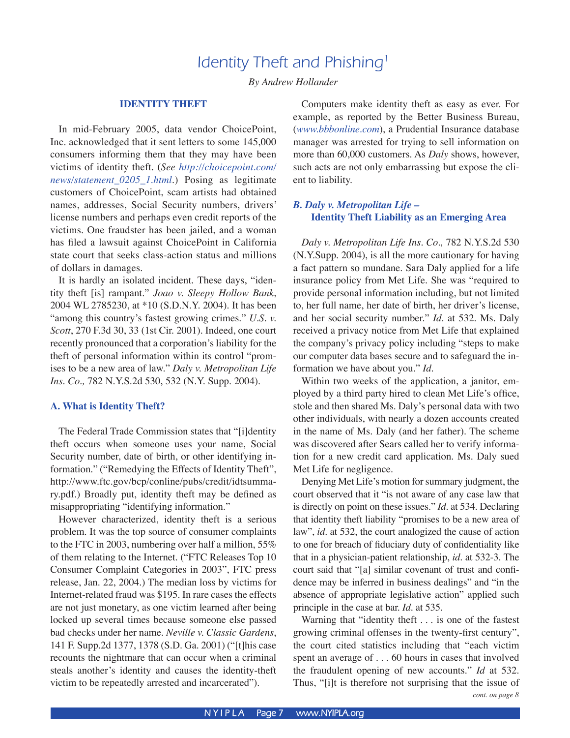# Identity Theft and Phishing<sup>1</sup>

*By Andrew Hollander*

#### **IDENTITY THEFT**

In mid-February 2005, data vendor ChoicePoint, Inc. acknowledged that it sent letters to some 145,000 consumers informing them that they may have been victims of identity theft. **(***See http://choicepoint.com/ news/statement\_0205\_1.html.*) Posing as legitimate customers of ChoicePoint, scam artists had obtained names, addresses, Social Security numbers, drivers' license numbers and perhaps even credit reports of the victims. One fraudster has been jailed, and a woman has filed a lawsuit against ChoicePoint in California state court that seeks class-action status and millions of dollars in damages.

 It is hardly an isolated incident. These days, "identity theft [is] rampant." *Joao v. Sleepy Hollow Bank*, 2004 WL 2785230, at \*10 (S.D.N.Y. 2004). It has been "among this country's fastest growing crimes." *U.S. v. Scott*, 270 F.3d 30, 33 (1st Cir. 2001). Indeed, one court recently pronounced that a corporation's liability for the theft of personal information within its control "promises to be a new area of law." *Daly v. Metropolitan Life Ins. Co.,* 782 N.Y.S.2d 530, 532 (N.Y. Supp. 2004).

#### **A. What is Identity Theft?**

 The Federal Trade Commission states that "[i]dentity theft occurs when someone uses your name, Social Security number, date of birth, or other identifying information." ("Remedying the Effects of Identity Theft", http://www.ftc.gov/bcp/conline/pubs/credit/idtsummary.pdf*.*) Broadly put, identity theft may be defined as misappropriating "identifying information."

 However characterized, identity theft is a serious problem. It was the top source of consumer complaints to the FTC in 2003, numbering over half a million, 55% of them relating to the Internet. ("FTC Releases Top 10 Consumer Complaint Categories in 2003", FTC press release, Jan. 22, 2004.) The median loss by victims for Internet-related fraud was \$195. In rare cases the effects are not just monetary, as one victim learned after being locked up several times because someone else passed bad checks under her name. *Neville v. Classic Gardens*, 141 F. Supp.2d 1377, 1378 (S.D. Ga. 2001) ("[t]his case recounts the nightmare that can occur when a criminal steals another's identity and causes the identity-theft victim to be repeatedly arrested and incarcerated").

 Computers make identity theft as easy as ever. For example, as reported by the Better Business Bureau, (*www.bbbonline.com*), a Prudential Insurance database manager was arrested for trying to sell information on more than 60,000 customers. As *Daly* shows, however, such acts are not only embarrassing but expose the client to liability.

#### *B. Daly v. Metropolitan Life –*  **Identity Theft Liability as an Emerging Area**

 *Daly v. Metropolitan Life Ins. Co.,* 782 N.Y.S.2d 530 (N.Y.Supp. 2004), is all the more cautionary for having a fact pattern so mundane. Sara Daly applied for a life insurance policy from Met Life. She was "required to provide personal information including, but not limited to, her full name, her date of birth, her driver's license, and her social security number." *Id.* at 532. Ms. Daly received a privacy notice from Met Life that explained the company's privacy policy including "steps to make our computer data bases secure and to safeguard the information we have about you." *Id.*

 Within two weeks of the application, a janitor, employed by a third party hired to clean Met Life's office, stole and then shared Ms. Daly's personal data with two other individuals, with nearly a dozen accounts created in the name of Ms. Daly (and her father). The scheme was discovered after Sears called her to verify information for a new credit card application. Ms. Daly sued Met Life for negligence.

Denying Met Life's motion for summary judgment, the court observed that it "is not aware of any case law that is directly on point on these issues." *Id.* at 534. Declaring that identity theft liability "promises to be a new area of law", *id.* at 532, the court analogized the cause of action to one for breach of fiduciary duty of confidentiality like that in a physician-patient relationship, *id.* at 532-3. The court said that "[a] similar covenant of trust and confidence may be inferred in business dealings" and "in the absence of appropriate legislative action" applied such principle in the case at bar. *Id.* at 535.

 Warning that "identity theft . . . is one of the fastest growing criminal offenses in the twenty-first century", the court cited statistics including that "each victim spent an average of . . . 60 hours in cases that involved the fraudulent opening of new accounts." *Id* at 532*.* Thus, "[i]t is therefore not surprising that the issue of *cont. on page 8*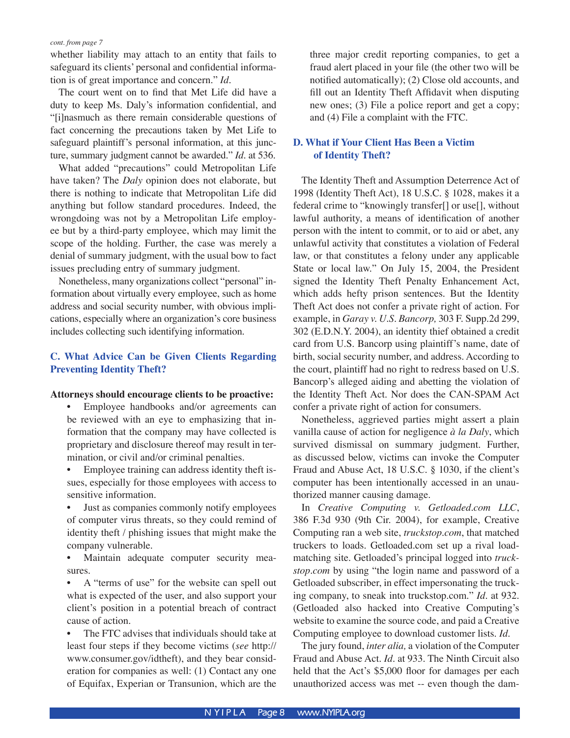whether liability may attach to an entity that fails to safeguard its clients' personal and confidential information is of great importance and concern." *Id.*

The court went on to find that Met Life did have a duty to keep Ms. Daly's information confidential, and "[i]nasmuch as there remain considerable questions of fact concerning the precautions taken by Met Life to safeguard plaintiff's personal information, at this juncture, summary judgment cannot be awarded." *Id.* at 536.

 What added "precautions" could Metropolitan Life have taken? The *Daly* opinion does not elaborate, but there is nothing to indicate that Metropolitan Life did anything but follow standard procedures. Indeed, the wrongdoing was not by a Metropolitan Life employee but by a third-party employee, which may limit the scope of the holding. Further, the case was merely a denial of summary judgment, with the usual bow to fact issues precluding entry of summary judgment.

Nonetheless, many organizations collect "personal" information about virtually every employee, such as home address and social security number, with obvious implications, especially where an organization's core business includes collecting such identifying information.

#### **C. What Advice Can be Given Clients Regarding Preventing Identity Theft?**

#### **Attorneys should encourage clients to be proactive:**

• Employee handbooks and/or agreements can be reviewed with an eye to emphasizing that information that the company may have collected is proprietary and disclosure thereof may result in termination, or civil and/or criminal penalties.

• Employee training can address identity theft issues, especially for those employees with access to sensitive information.

• Just as companies commonly notify employees of computer virus threats, so they could remind of identity theft / phishing issues that might make the company vulnerable.

• Maintain adequate computer security measures.

• A "terms of use" for the website can spell out what is expected of the user, and also support your client's position in a potential breach of contract cause of action.

The FTC advises that individuals should take at least four steps if they become victims (*see* http:// www.consumer.gov/idtheft), and they bear consideration for companies as well: (1) Contact any one of Equifax, Experian or Transunion, which are the three major credit reporting companies, to get a fraud alert placed in your file (the other two will be notified automatically); (2) Close old accounts, and fill out an Identity Theft Affidavit when disputing new ones; (3) File a police report and get a copy; and (4) File a complaint with the FTC.

#### **D. What if Your Client Has Been a Victim of Identity Theft?**

 The Identity Theft and Assumption Deterrence Act of 1998 (Identity Theft Act), 18 U.S.C. § 1028, makes it a federal crime to "knowingly transfer[] or use[], without lawful authority, a means of identification of another person with the intent to commit, or to aid or abet, any unlawful activity that constitutes a violation of Federal law, or that constitutes a felony under any applicable State or local law." On July 15, 2004, the President signed the Identity Theft Penalty Enhancement Act, which adds hefty prison sentences. But the Identity Theft Act does not confer a private right of action. For example, in *Garay v. U.S. Bancorp,* 303 F. Supp.2d 299, 302 (E.D.N.Y. 2004), an identity thief obtained a credit card from U.S. Bancorp using plaintiff's name, date of birth, social security number, and address. According to the court, plaintiff had no right to redress based on U.S. Bancorp's alleged aiding and abetting the violation of the Identity Theft Act. Nor does the CAN-SPAM Act confer a private right of action for consumers.

 Nonetheless, aggrieved parties might assert a plain vanilla cause of action for negligence *à la Daly*, which survived dismissal on summary judgment. Further, as discussed below, victims can invoke the Computer Fraud and Abuse Act, 18 U.S.C. § 1030, if the client's computer has been intentionally accessed in an unauthorized manner causing damage.

 In *Creative Computing v. Getloaded.com LLC*, 386 F.3d 930 (9th Cir. 2004), for example, Creative Computing ran a web site, *truckstop.com*, that matched truckers to loads. Getloaded.com set up a rival loadmatching site. Getloaded's principal logged into *truckstop.com* by using "the login name and password of a Getloaded subscriber, in effect impersonating the trucking company, to sneak into truckstop.com." *Id.* at 932. (Getloaded also hacked into Creative Computing's website to examine the source code, and paid a Creative Computing employee to download customer lists. *Id*.

 The jury found, *inter alia,* a violation of the Computer Fraud and Abuse Act. *Id.* at 933. The Ninth Circuit also held that the Act's \$5,000 floor for damages per each unauthorized access was met -- even though the dam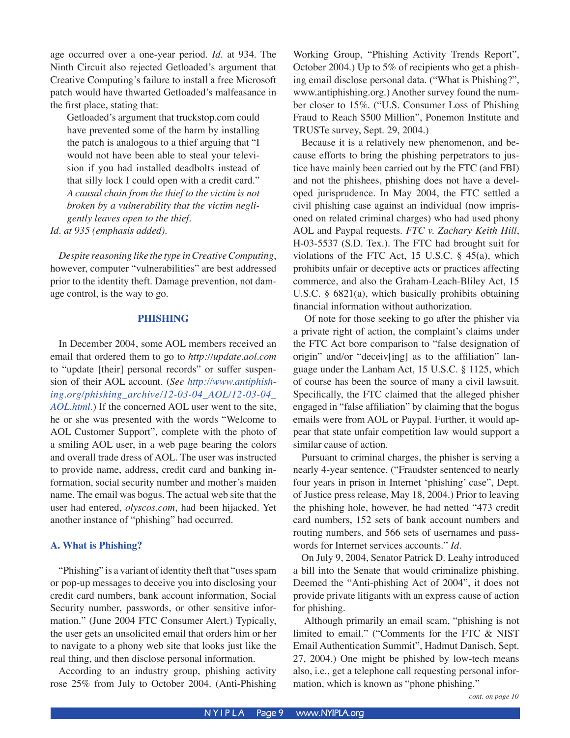age occurred over a one-year period. *Id.* at 934. The Ninth Circuit also rejected Getloaded's argument that Creative Computing's failure to install a free Microsoft patch would have thwarted Getloaded's malfeasance in the first place, stating that:

Getloaded's argument that truckstop.com could have prevented some of the harm by installing the patch is analogous to a thief arguing that "I would not have been able to steal your television if you had installed deadbolts instead of that silly lock I could open with a credit card." *A causal chain from the thief to the victim is not broken by a vulnerability that the victim negligently leaves open to the thief*. *Id. at 935 (emphasis added).*

 *Despite reasoning like the type in Creative Computing*, however, computer "vulnerabilities" are best addressed prior to the identity theft. Damage prevention, not damage control, is the way to go.

#### **PHISHING**

In December 2004, some AOL members received an email that ordered them to go to *http://update.aol.com* to "update [their] personal records" or suffer suspension of their AOL account. (*See http://www.antiphishing.org/phishing\_archive/12-03-04\_AOL/12-03-04\_ AOL.html*.) If the concerned AOL user went to the site, he or she was presented with the words "Welcome to AOL Customer Support", complete with the photo of a smiling AOL user, in a web page bearing the colors and overall trade dress of AOL. The user was instructed to provide name, address, credit card and banking information, social security number and mother's maiden name. The email was bogus. The actual web site that the user had entered, *olyscos.com*, had been hijacked. Yet another instance of "phishing" had occurred.

#### **A. What is Phishing?**

 "Phishing" is a variant of identity theft that "uses spam or pop-up messages to deceive you into disclosing your credit card numbers, bank account information, Social Security number, passwords, or other sensitive information." (June 2004 FTC Consumer Alert.) Typically, the user gets an unsolicited email that orders him or her to navigate to a phony web site that looks just like the real thing, and then disclose personal information.

 According to an industry group, phishing activity rose 25% from July to October 2004. (Anti-Phishing Working Group, "Phishing Activity Trends Report", October 2004.) Up to 5% of recipients who get a phishing email disclose personal data. ("What is Phishing?", www.antiphishing.org*.*) Another survey found the number closer to 15%. ("U.S. Consumer Loss of Phishing Fraud to Reach \$500 Million", Ponemon Institute and TRUSTe survey, Sept. 29, 2004.)

 Because it is a relatively new phenomenon, and because efforts to bring the phishing perpetrators to justice have mainly been carried out by the FTC (and FBI) and not the phishees, phishing does not have a developed jurisprudence. In May 2004, the FTC settled a civil phishing case against an individual (now imprisoned on related criminal charges) who had used phony AOL and Paypal requests. *FTC v. Zachary Keith Hill*, H-03-5537 (S.D. Tex.). The FTC had brought suit for violations of the FTC Act, 15 U.S.C. § 45(a), which prohibits unfair or deceptive acts or practices affecting commerce, and also the Graham-Leach-Bliley Act, 15 U.S.C. § 6821(a), which basically prohibits obtaining financial information without authorization.

 Of note for those seeking to go after the phisher via a private right of action, the complaint's claims under the FTC Act bore comparison to "false designation of origin" and/or "deceiv[ing] as to the affiliation" language under the Lanham Act, 15 U.S.C. § 1125, which of course has been the source of many a civil lawsuit. Specifically, the FTC claimed that the alleged phisher engaged in "false affiliation" by claiming that the bogus emails were from AOL or Paypal. Further, it would appear that state unfair competition law would support a similar cause of action.

 Pursuant to criminal charges, the phisher is serving a nearly 4-year sentence. ("Fraudster sentenced to nearly four years in prison in Internet ʻphishing' case", Dept. of Justice press release, May 18, 2004.) Prior to leaving the phishing hole, however, he had netted "473 credit card numbers, 152 sets of bank account numbers and routing numbers, and 566 sets of usernames and passwords for Internet services accounts." *Id.*

 On July 9, 2004, Senator Patrick D. Leahy introduced a bill into the Senate that would criminalize phishing. Deemed the "Anti-phishing Act of 2004", it does not provide private litigants with an express cause of action for phishing.

 Although primarily an email scam, "phishing is not limited to email." ("Comments for the FTC & NIST Email Authentication Summit", Hadmut Danisch, Sept. 27, 2004.) One might be phished by low-tech means also, i.e., get a telephone call requesting personal information, which is known as "phone phishing."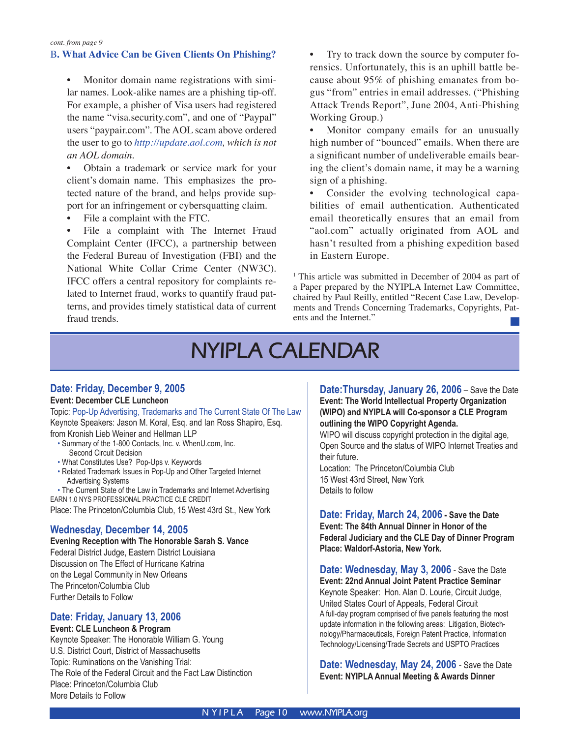#### B**. What Advice Can be Given Clients On Phishing?**

• Monitor domain name registrations with similar names. Look-alike names are a phishing tip-off. For example, a phisher of Visa users had registered the name "visa.security.com", and one of "Paypal" users "paypair.com". The AOL scam above ordered the user to go to *http://update.aol.com, which is not an AOL domain.*

• Obtain a trademark or service mark for your client's domain name. This emphasizes the protected nature of the brand, and helps provide support for an infringement or cybersquatting claim.

• File a complaint with the FTC.

File a complaint with The Internet Fraud Complaint Center (IFCC), a partnership between the Federal Bureau of Investigation (FBI) and the National White Collar Crime Center (NW3C). IFCC offers a central repository for complaints related to Internet fraud, works to quantify fraud patterns, and provides timely statistical data of current fraud trends.

- Try to track down the source by computer forensics. Unfortunately, this is an uphill battle because about 95% of phishing emanates from bogus "from" entries in email addresses. ("Phishing Attack Trends Report", June 2004, Anti-Phishing Working Group.)
- Monitor company emails for an unusually high number of "bounced" emails. When there are a significant number of undeliverable emails bearing the client's domain name, it may be a warning sign of a phishing.
- Consider the evolving technological capabilities of email authentication. Authenticated email theoretically ensures that an email from "aol.com" actually originated from AOL and hasn't resulted from a phishing expedition based in Eastern Europe.

<sup>1</sup> This article was submitted in December of 2004 as part of a Paper prepared by the NYIPLA Internet Law Committee, chaired by Paul Reilly, entitled "Recent Case Law, Developments and Trends Concerning Trademarks, Copyrights, Patents and the Internet."

# **NYIPLA CALENDAR**

#### **Date: Friday, December 9, 2005 Event: December CLE Luncheon**

Topic: Pop-Up Advertising, Trademarks and The Current State Of The Law Keynote Speakers: Jason M. Koral, Esq. and Ian Ross Shapiro, Esq. from Kronish Lieb Weiner and Hellman LLP

- Summary of the 1-800 Contacts, Inc. v. WhenU.com, Inc. Second Circuit Decision
- What Constitutes Use? Pop-Ups v. Keywords
- Related Trademark Issues in Pop-Up and Other Targeted Internet Advertising Systems

• The Current State of the Law in Trademarks and Internet Advertising EARN 1.0 NYS PROFESSIONAL PRACTICE CLE CREDIT Place: The Princeton/Columbia Club, 15 West 43rd St., New York

#### **Wednesday, December 14, 2005**

**Evening Reception with The Honorable Sarah S. Vance** Federal District Judge, Eastern District Louisiana Discussion on The Effect of Hurricane Katrina on the Legal Community in New Orleans The Princeton/Columbia Club Further Details to Follow

#### **Date: Friday, January 13, 2006**

**Event: CLE Luncheon & Program** Keynote Speaker: The Honorable William G. Young U.S. District Court, District of Massachusetts Topic: Ruminations on the Vanishing Trial: The Role of the Federal Circuit and the Fact Law Distinction Place: Princeton/Columbia Club More Details to Follow

**Date:Thursday, January 26, 2006** – Save the Date **Event: The World Intellectual Property Organization (WIPO) and NYIPLA will Co-sponsor a CLE Program outlining the WIPO Copyright Agenda.**

WIPO will discuss copyright protection in the digital age, Open Source and the status of WIPO Internet Treaties and their future.

Location: The Princeton/Columbia Club 15 West 43rd Street, New York Details to follow

**Date: Friday, March 24, 2006 - Save the Date Event: The 84th Annual Dinner in Honor of the Federal Judiciary and the CLE Day of Dinner Program Place: Waldorf-Astoria, New York.**

**Date: Wednesday, May 3, 2006** - Save the Date **Event: 22nd Annual Joint Patent Practice Seminar** Keynote Speaker: Hon. Alan D. Lourie, Circuit Judge, United States Court of Appeals, Federal Circuit A full-day program comprised of five panels featuring the most update information in the following areas: Litigation, Biotechnology/Pharmaceuticals, Foreign Patent Practice, Information Technology/Licensing/Trade Secrets and USPTO Practices

**Date: Wednesday, May 24, 2006** - Save the Date **Event: NYIPLA Annual Meeting & Awards Dinner**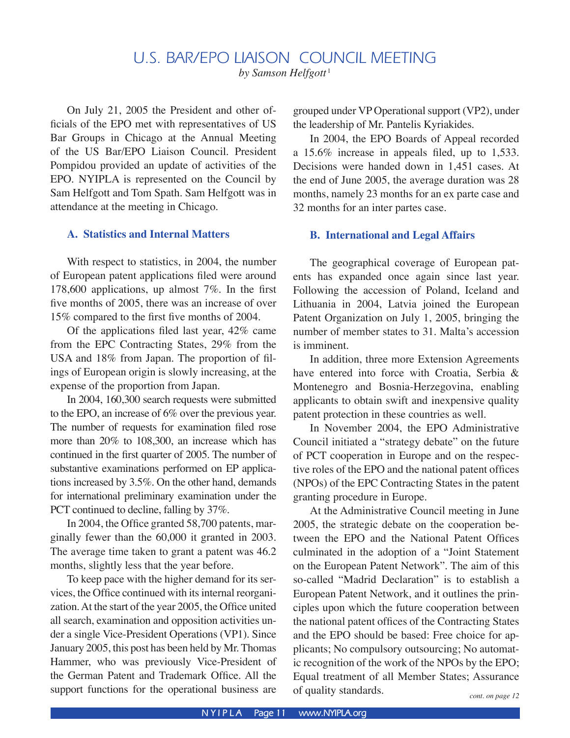# U.S. BAR/EPO LIAISON COUNCIL MEETING

*by Samson Helfgott*<sup>1</sup>

 On July 21, 2005 the President and other officials of the EPO met with representatives of US Bar Groups in Chicago at the Annual Meeting of the US Bar/EPO Liaison Council. President Pompidou provided an update of activities of the EPO. NYIPLA is represented on the Council by Sam Helfgott and Tom Spath. Sam Helfgott was in attendance at the meeting in Chicago.

#### **A. Statistics and Internal Matters**

 With respect to statistics, in 2004, the number of European patent applications filed were around 178,600 applications, up almost 7%. In the first five months of 2005, there was an increase of over 15% compared to the first five months of 2004.

 Of the applications filed last year, 42% came from the EPC Contracting States, 29% from the USA and 18% from Japan. The proportion of filings of European origin is slowly increasing, at the expense of the proportion from Japan.

In 2004, 160,300 search requests were submitted to the EPO, an increase of 6% over the previous year. The number of requests for examination filed rose more than 20% to 108,300, an increase which has continued in the first quarter of 2005. The number of substantive examinations performed on EP applications increased by 3.5%. On the other hand, demands for international preliminary examination under the PCT continued to decline, falling by 37%.

 In 2004, the Office granted 58,700 patents, marginally fewer than the 60,000 it granted in 2003. The average time taken to grant a patent was 46.2 months, slightly less that the year before.

To keep pace with the higher demand for its services, the Office continued with its internal reorganization. At the start of the year 2005, the Office united all search, examination and opposition activities under a single Vice-President Operations (VP1). Since January 2005, this post has been held by Mr. Thomas Hammer, who was previously Vice-President of the German Patent and Trademark Office. All the support functions for the operational business are

grouped under VP Operational support (VP2), under the leadership of Mr. Pantelis Kyriakides.

In 2004, the EPO Boards of Appeal recorded a 15.6% increase in appeals filed, up to 1,533. Decisions were handed down in 1,451 cases. At the end of June 2005, the average duration was 28 months, namely 23 months for an ex parte case and 32 months for an inter partes case.

#### **B. International and Legal Affairs**

 The geographical coverage of European patents has expanded once again since last year. Following the accession of Poland, Iceland and Lithuania in 2004, Latvia joined the European Patent Organization on July 1, 2005, bringing the number of member states to 31. Malta's accession is imminent.

 In addition, three more Extension Agreements have entered into force with Croatia, Serbia & Montenegro and Bosnia-Herzegovina, enabling applicants to obtain swift and inexpensive quality patent protection in these countries as well.

 In November 2004, the EPO Administrative Council initiated a "strategy debate" on the future of PCT cooperation in Europe and on the respective roles of the EPO and the national patent offices (NPOs) of the EPC Contracting States in the patent granting procedure in Europe.

 At the Administrative Council meeting in June 2005, the strategic debate on the cooperation between the EPO and the National Patent Offices culminated in the adoption of a "Joint Statement on the European Patent Network". The aim of this so-called "Madrid Declaration" is to establish a European Patent Network, and it outlines the principles upon which the future cooperation between the national patent offices of the Contracting States and the EPO should be based: Free choice for applicants; No compulsory outsourcing; No automatic recognition of the work of the NPOs by the EPO; Equal treatment of all Member States; Assurance of quality standards.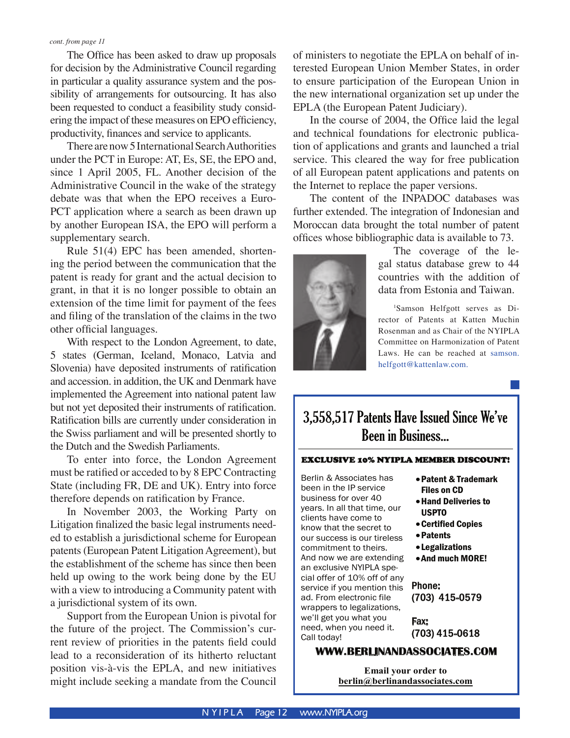The Office has been asked to draw up proposals for decision by the Administrative Council regarding in particular a quality assurance system and the possibility of arrangements for outsourcing. It has also been requested to conduct a feasibility study considering the impact of these measures on EPO efficiency, productivity, finances and service to applicants.

 There are now 5 International Search Authorities under the PCT in Europe: AT, Es, SE, the EPO and, since 1 April 2005, FL. Another decision of the Administrative Council in the wake of the strategy debate was that when the EPO receives a Euro-PCT application where a search as been drawn up by another European ISA, the EPO will perform a supplementary search.

 Rule 51(4) EPC has been amended, shortening the period between the communication that the patent is ready for grant and the actual decision to grant, in that it is no longer possible to obtain an extension of the time limit for payment of the fees and filing of the translation of the claims in the two other official languages.

With respect to the London Agreement, to date, 5 states (German, Iceland, Monaco, Latvia and Slovenia) have deposited instruments of ratification and accession. in addition, the UK and Denmark have implemented the Agreement into national patent law but not yet deposited their instruments of ratification. Ratification bills are currently under consideration in the Swiss parliament and will be presented shortly to the Dutch and the Swedish Parliaments.

 To enter into force, the London Agreement must be ratified or acceded to by 8 EPC Contracting State (including FR, DE and UK). Entry into force therefore depends on ratification by France.

In November 2003, the Working Party on Litigation finalized the basic legal instruments needed to establish a jurisdictional scheme for European patents (European Patent Litigation Agreement), but the establishment of the scheme has since then been held up owing to the work being done by the EU with a view to introducing a Community patent with a jurisdictional system of its own.

 Support from the European Union is pivotal for the future of the project. The Commission's current review of priorities in the patents field could lead to a reconsideration of its hitherto reluctant position vis-à-vis the EPLA, and new initiatives might include seeking a mandate from the Council

of ministers to negotiate the EPLA on behalf of interested European Union Member States, in order to ensure participation of the European Union in the new international organization set up under the EPLA (the European Patent Judiciary).

 In the course of 2004, the Office laid the legal and technical foundations for electronic publication of applications and grants and launched a trial service. This cleared the way for free publication of all European patent applications and patents on the Internet to replace the paper versions.

The content of the INPADOC databases was further extended. The integration of Indonesian and Moroccan data brought the total number of patent offices whose bibliographic data is available to 73.



 The coverage of the legal status database grew to 44 countries with the addition of data from Estonia and Taiwan.

1 Samson Helfgott serves as Director of Patents at Katten Muchin Rosenman and as Chair of the NYIPLA Committee on Harmonization of Patent Laws. He can be reached at samson. helfgott@kattenlaw.com.

# 3,558,517 Patents Have Issued Since We've Been in Business...

#### EXCLUSIVE 10% NYIPLA MEMBER DISCOUNT!

Berlin & Associates has been in the IP service business for over 40 years. In all that time, our clients have come to know that the secret to our success is our tireless commitment to theirs. And now we are extending an exclusive NYIPLA special offer of 10% off of any service if you mention this ad. From electronic file wrappers to legalizations, we'll get you what you need, when you need it. Call today!

## •Hand Deliveries to USPTO

•Patent & Trademark Files on CD

- •Certified Copies
- •Patents
- •Legalizations
- •And much MORE!

Phone: (703) 415-0579

Fax: (703) 415-0618

#### **WWW.BERLINANDASSOCIATES.COM**

**Email your order to berlin@berlinandassociates.com**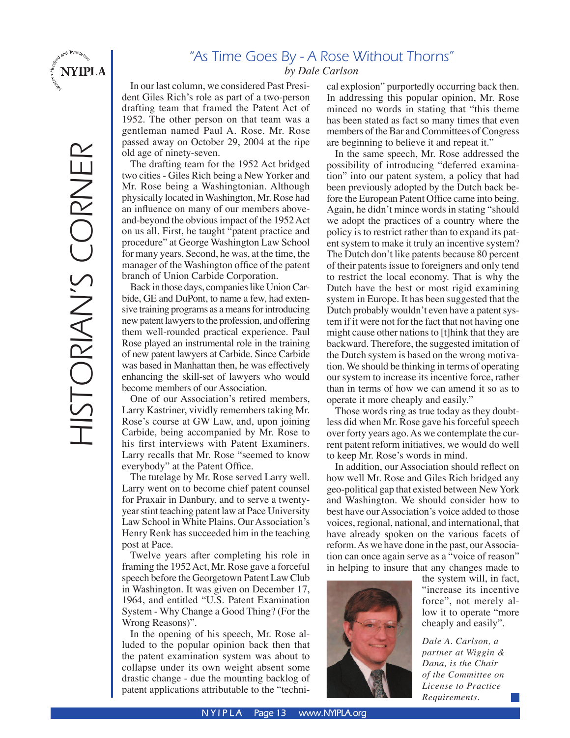

HISTORIAN'S CORNER

HISTORIAN'S CORNER

# "As Time Goes By - A Rose Without Thorns"

#### *by Dale Carlson*

In our last column, we considered Past President Giles Rich's role as part of a two-person drafting team that framed the Patent Act of 1952. The other person on that team was a gentleman named Paul A. Rose. Mr. Rose passed away on October 29, 2004 at the ripe old age of ninety-seven.

The drafting team for the 1952 Act bridged two cities - Giles Rich being a New Yorker and Mr. Rose being a Washingtonian. Although physically located in Washington, Mr. Rose had an influence on many of our members aboveand-beyond the obvious impact of the 1952 Act on us all. First, he taught "patent practice and procedure" at George Washington Law School for many years. Second, he was, at the time, the manager of the Washington office of the patent branch of Union Carbide Corporation.

Back in those days, companies like Union Carbide, GE and DuPont, to name a few, had extensive training programs as a means for introducing new patent lawyers to the profession, and offering them well-rounded practical experience. Paul Rose played an instrumental role in the training of new patent lawyers at Carbide. Since Carbide was based in Manhattan then, he was effectively enhancing the skill-set of lawyers who would become members of our Association.

One of our Association's retired members, Larry Kastriner, vividly remembers taking Mr. Rose's course at GW Law, and, upon joining Carbide, being accompanied by Mr. Rose to his first interviews with Patent Examiners. Larry recalls that Mr. Rose "seemed to know everybody" at the Patent Office.

The tutelage by Mr. Rose served Larry well. Larry went on to become chief patent counsel for Praxair in Danbury, and to serve a twentyyear stint teaching patent law at Pace University Law School in White Plains. Our Association's Henry Renk has succeeded him in the teaching post at Pace.

Twelve years after completing his role in framing the 1952 Act, Mr. Rose gave a forceful speech before the Georgetown Patent Law Club in Washington. It was given on December 17, 1964, and entitled "U.S. Patent Examination System - Why Change a Good Thing? (For the Wrong Reasons)".

In the opening of his speech, Mr. Rose alluded to the popular opinion back then that the patent examination system was about to collapse under its own weight absent some drastic change - due the mounting backlog of patent applications attributable to the "technical explosion" purportedly occurring back then. In addressing this popular opinion, Mr. Rose minced no words in stating that "this theme has been stated as fact so many times that even members of the Bar and Committees of Congress are beginning to believe it and repeat it."

In the same speech, Mr. Rose addressed the possibility of introducing "deferred examination" into our patent system, a policy that had been previously adopted by the Dutch back before the European Patent Office came into being. Again, he didn't mince words in stating "should we adopt the practices of a country where the policy is to restrict rather than to expand its patent system to make it truly an incentive system? The Dutch don't like patents because 80 percent of their patents issue to foreigners and only tend to restrict the local economy. That is why the Dutch have the best or most rigid examining system in Europe. It has been suggested that the Dutch probably wouldn't even have a patent system if it were not for the fact that not having one might cause other nations to [t]hink that they are backward. Therefore, the suggested imitation of the Dutch system is based on the wrong motivation. We should be thinking in terms of operating our system to increase its incentive force, rather than in terms of how we can amend it so as to operate it more cheaply and easily."

Those words ring as true today as they doubtless did when Mr. Rose gave his forceful speech over forty years ago. As we contemplate the current patent reform initiatives, we would do well to keep Mr. Rose's words in mind.

In addition, our Association should reflect on how well Mr. Rose and Giles Rich bridged any geo-political gap that existed between New York and Washington. We should consider how to best have our Association's voice added to those voices, regional, national, and international, that have already spoken on the various facets of reform. As we have done in the past, our Association can once again serve as a "voice of reason" in helping to insure that any changes made to



the system will, in fact, "increase its incentive force", not merely allow it to operate "more cheaply and easily".

*Dale A. Carlson, a partner at Wiggin & Dana, is the Chair of the Committee on License to Practice Requirements.*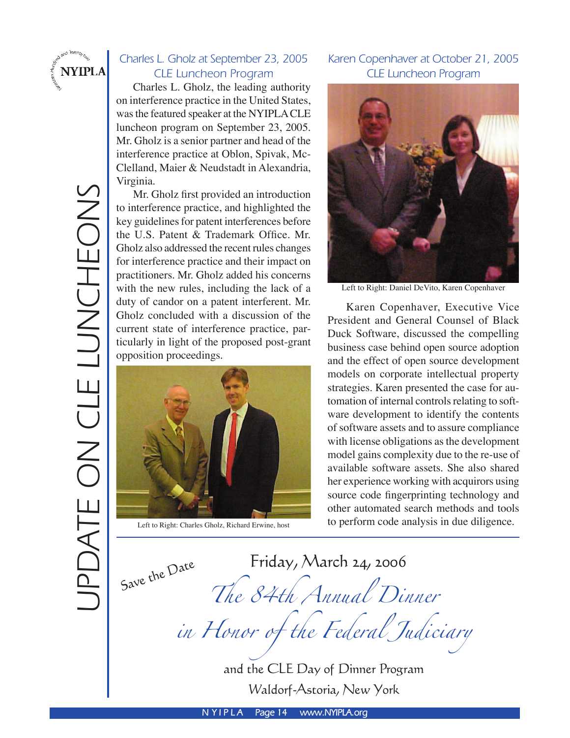

# Charles L. Gholz at September 23, 2005 CLE Luncheon Program

 Charles L. Gholz, the leading authority on interference practice in the United States, was the featured speaker at the NYIPLA CLE luncheon program on September 23, 2005. Mr. Gholz is a senior partner and head of the interference practice at Oblon, Spivak, Mc-Clelland, Maier & Neudstadt in Alexandria, Virginia.

 Mr. Gholz first provided an introduction to interference practice, and highlighted the key guidelines for patent interferences before the U.S. Patent & Trademark Office. Mr. Gholz also addressed the recent rules changes for interference practice and their impact on practitioners. Mr. Gholz added his concerns with the new rules, including the lack of a duty of candor on a patent interferent. Mr. Gholz concluded with a discussion of the current state of interference practice, particularly in light of the proposed post-grant opposition proceedings.



## Karen Copenhaver at October 21, 2005 CLE Luncheon Program



Left to Right: Daniel DeVito, Karen Copenhaver

 Karen Copenhaver, Executive Vice President and General Counsel of Black Duck Software, discussed the compelling business case behind open source adoption and the effect of open source development models on corporate intellectual property strategies. Karen presented the case for automation of internal controls relating to software development to identify the contents of software assets and to assure compliance with license obligations as the development model gains complexity due to the re-use of available software assets. She also shared her experience working with acquirors using source code fingerprinting technology and other automated search methods and tools Left to Right: Charles Gholz, Richard Erwine, host to perform code analysis in due diligence.

Save the Date

Friday, March 24, 2006 The 84th Annual Dinner in Honor of the Federal Judiciary

and the CLE Day of Dinner Program Waldorf-Astoria, New York

**N Y I P L A Page 14 www.NYIPLA.org**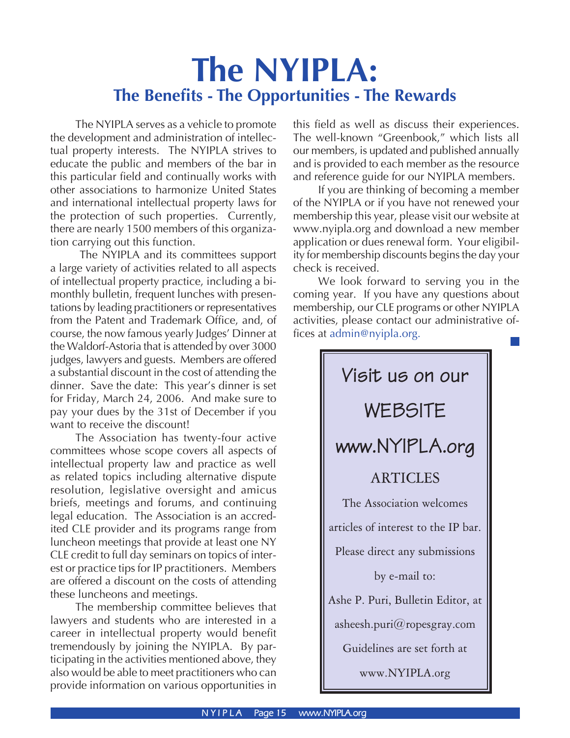# **The NYIPLA: The Benefits - The Opportunities - The Rewards**

 The NYIPLA serves as a vehicle to promote the development and administration of intellectual property interests. The NYIPLA strives to educate the public and members of the bar in this particular field and continually works with other associations to harmonize United States and international intellectual property laws for the protection of such properties. Currently, there are nearly 1500 members of this organization carrying out this function.

 The NYIPLA and its committees support a large variety of activities related to all aspects of intellectual property practice, including a bimonthly bulletin, frequent lunches with presentations by leading practitioners or representatives from the Patent and Trademark Office, and, of course, the now famous yearly Judges' Dinner at the Waldorf-Astoria that is attended by over 3000 judges, lawyers and guests. Members are offered a substantial discount in the cost of attending the dinner. Save the date: This year's dinner is set for Friday, March 24, 2006. And make sure to pay your dues by the 31st of December if you want to receive the discount!

 The Association has twenty-four active committees whose scope covers all aspects of intellectual property law and practice as well as related topics including alternative dispute resolution, legislative oversight and amicus briefs, meetings and forums, and continuing legal education. The Association is an accredited CLE provider and its programs range from luncheon meetings that provide at least one NY CLE credit to full day seminars on topics of interest or practice tips for IP practitioners. Members are offered a discount on the costs of attending these luncheons and meetings.

 The membership committee believes that lawyers and students who are interested in a career in intellectual property would benefit tremendously by joining the NYIPLA. By participating in the activities mentioned above, they also would be able to meet practitioners who can provide information on various opportunities in

this field as well as discuss their experiences. The well-known "Greenbook," which lists all our members, is updated and published annually and is provided to each member as the resource and reference guide for our NYIPLA members.

 If you are thinking of becoming a member of the NYIPLA or if you have not renewed your membership this year, please visit our website at www.nyipla.org and download a new member application or dues renewal form. Your eligibility for membership discounts begins the day your check is received.

 We look forward to serving you in the coming year. If you have any questions about membership, our CLE programs or other NYIPLA activities, please contact our administrative offices at admin@nyipla.org.

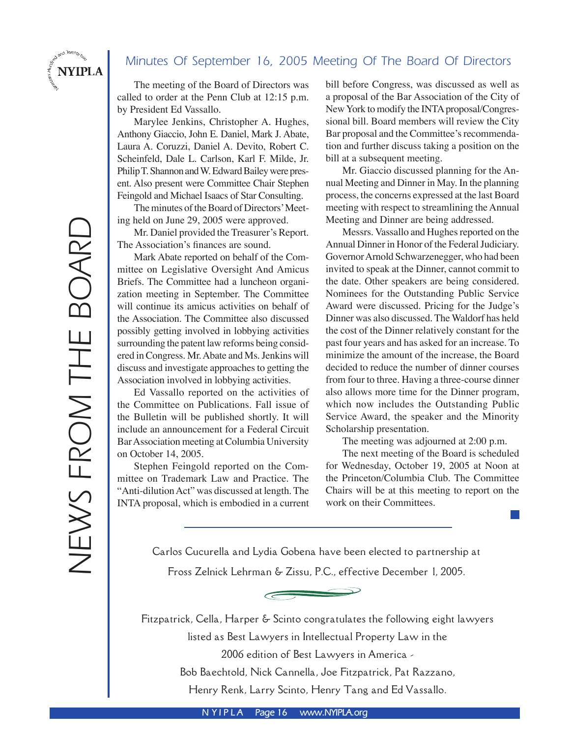## Minutes Of September 16, 2005 Meeting Of The Board Of Directors

The meeting of the Board of Directors was called to order at the Penn Club at 12:15 p.m. by President Ed Vassallo.

Marylee Jenkins, Christopher A. Hughes, Anthony Giaccio, John E. Daniel, Mark J. Abate, Laura A. Coruzzi, Daniel A. Devito, Robert C. Scheinfeld, Dale L. Carlson, Karl F. Milde, Jr. Philip T. Shannon and W. Edward Bailey were present. Also present were Committee Chair Stephen Feingold and Michael Isaacs of Star Consulting.

 The minutes of the Board of Directors' Meeting held on June 29, 2005 were approved.

 Mr. Daniel provided the Treasurer's Report. The Association's finances are sound.

Mark Abate reported on behalf of the Committee on Legislative Oversight And Amicus Briefs. The Committee had a luncheon organization meeting in September. The Committee will continue its amicus activities on behalf of the Association. The Committee also discussed possibly getting involved in lobbying activities surrounding the patent law reforms being considered in Congress. Mr. Abate and Ms. Jenkins will discuss and investigate approaches to getting the Association involved in lobbying activities.

 Ed Vassallo reported on the activities of the Committee on Publications. Fall issue of the Bulletin will be published shortly. It will include an announcement for a Federal Circuit Bar Association meeting at Columbia University on October 14, 2005.

 Stephen Feingold reported on the Committee on Trademark Law and Practice. The "Anti-dilution Act" was discussed at length. The INTA proposal, which is embodied in a current bill before Congress, was discussed as well as a proposal of the Bar Association of the City of New York to modify the INTA proposal/Congressional bill. Board members will review the City Bar proposal and the Committee's recommendation and further discuss taking a position on the bill at a subsequent meeting.

 Mr. Giaccio discussed planning for the Annual Meeting and Dinner in May. In the planning process, the concerns expressed at the last Board meeting with respect to streamlining the Annual Meeting and Dinner are being addressed.

 Messrs. Vassallo and Hughes reported on the Annual Dinner in Honor of the Federal Judiciary. Governor Arnold Schwarzenegger, who had been invited to speak at the Dinner, cannot commit to the date. Other speakers are being considered. Nominees for the Outstanding Public Service Award were discussed. Pricing for the Judge's Dinner was also discussed. The Waldorf has held the cost of the Dinner relatively constant for the past four years and has asked for an increase. To minimize the amount of the increase, the Board decided to reduce the number of dinner courses from four to three. Having a three-course dinner also allows more time for the Dinner program, which now includes the Outstanding Public Service Award, the speaker and the Minority Scholarship presentation.

The meeting was adjourned at 2:00 p.m.

 The next meeting of the Board is scheduled for Wednesday, October 19, 2005 at Noon at the Princeton/Columbia Club. The Committee Chairs will be at this meeting to report on the work on their Committees.

in 1

Carlos Cucurella and Lydia Gobena have been elected to partnership at

Fross Zelnick Lehrman & Zissu, P.C., effective December 1, 2005.

Fitzpatrick, Cella, Harper & Scinto congratulates the following eight lawyers listed as Best Lawyers in Intellectual Property Law in the 2006 edition of Best Lawyers in America - Bob Baechtold, Nick Cannella, Joe Fitzpatrick, Pat Razzano,

Henry Renk, Larry Scinto, Henry Tang and Ed Vassallo.

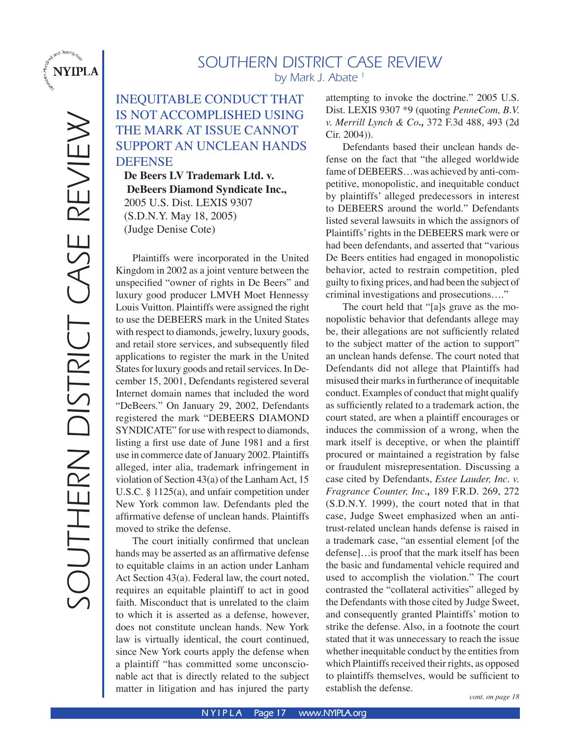

# SOUTHERN DISTRICT CASE REVIEW by Mark J. Abate<sup>1</sup>

# INEQUITABLE CONDUCT THAT IS NOT ACCOMPLISHED USING THE MARK AT ISSUE CANNOT SUPPORT AN UNCLEAN HANDS DEFENSE

**De Beers LV Trademark Ltd. v. DeBeers Diamond Syndicate Inc.,** 2005 U.S. Dist. LEXIS 9307 (S.D.N.Y. May 18, 2005) (Judge Denise Cote)

Plaintiffs were incorporated in the United Kingdom in 2002 as a joint venture between the unspecified "owner of rights in De Beers" and luxury good producer LMVH Moet Hennessy Louis Vuitton. Plaintiffs were assigned the right to use the DEBEERS mark in the United States with respect to diamonds, jewelry, luxury goods, and retail store services, and subsequently filed applications to register the mark in the United States for luxury goods and retail services. In December 15, 2001, Defendants registered several Internet domain names that included the word "DeBeers." On January 29, 2002, Defendants registered the mark "DEBEERS DIAMOND SYNDICATE" for use with respect to diamonds, listing a first use date of June 1981 and a first use in commerce date of January 2002. Plaintiffs alleged, inter alia, trademark infringement in violation of Section 43(a) of the Lanham Act, 15 U.S.C. § 1125(a), and unfair competition under New York common law. Defendants pled the affirmative defense of unclean hands. Plaintiffs moved to strike the defense.

The court initially confirmed that unclean hands may be asserted as an affirmative defense to equitable claims in an action under Lanham Act Section 43(a). Federal law, the court noted, requires an equitable plaintiff to act in good faith. Misconduct that is unrelated to the claim to which it is asserted as a defense, however, does not constitute unclean hands. New York law is virtually identical, the court continued, since New York courts apply the defense when a plaintiff "has committed some unconscionable act that is directly related to the subject matter in litigation and has injured the party

attempting to invoke the doctrine." 2005 U.S. Dist. LEXIS 9307 \*9 (quoting *PenneCom, B.V. v. Merrill Lynch & Co.,* 372 F.3d 488, 493 (2d Cir. 2004)).

Defendants based their unclean hands defense on the fact that "the alleged worldwide fame of DEBEERS…was achieved by anti-competitive, monopolistic, and inequitable conduct by plaintiffs' alleged predecessors in interest to DEBEERS around the world." Defendants listed several lawsuits in which the assignors of Plaintiffs' rights in the DEBEERS mark were or had been defendants, and asserted that "various De Beers entities had engaged in monopolistic behavior, acted to restrain competition, pled guilty to fixing prices, and had been the subject of criminal investigations and prosecutions…."

The court held that "[a]s grave as the monopolistic behavior that defendants allege may be, their allegations are not sufficiently related to the subject matter of the action to support" an unclean hands defense. The court noted that Defendants did not allege that Plaintiffs had misused their marks in furtherance of inequitable conduct. Examples of conduct that might qualify as sufficiently related to a trademark action, the court stated, are when a plaintiff encourages or induces the commission of a wrong, when the mark itself is deceptive, or when the plaintiff procured or maintained a registration by false or fraudulent misrepresentation. Discussing a case cited by Defendants, *Estee Lauder, Inc. v. Fragrance Counter, Inc.,* 189 F.R.D. 269, 272 (S.D.N.Y. 1999), the court noted that in that case, Judge Sweet emphasized when an antitrust-related unclean hands defense is raised in a trademark case, "an essential element [of the defense]…is proof that the mark itself has been the basic and fundamental vehicle required and used to accomplish the violation." The court contrasted the "collateral activities" alleged by the Defendants with those cited by Judge Sweet, and consequently granted Plaintiffs' motion to strike the defense. Also, in a footnote the court stated that it was unnecessary to reach the issue whether inequitable conduct by the entities from which Plaintiffs received their rights, as opposed to plaintiffs themselves, would be sufficient to establish the defense.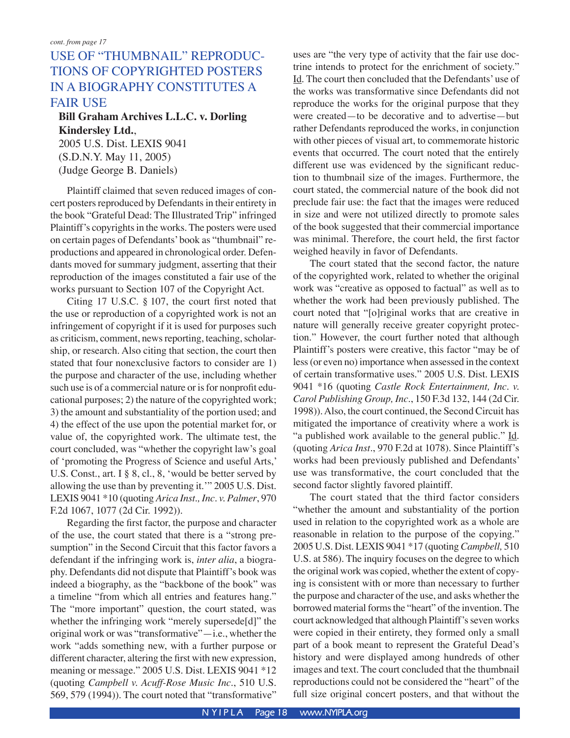# USE OF "THUMBNAIL" REPRODUC-TIONS OF COPYRIGHTED POSTERS IN A BIOGRAPHY CONSTITUTES A FAIR USE

#### **Bill Graham Archives L.L.C. v. Dorling Kindersley Ltd.**,

2005 U.S. Dist. LEXIS 9041 (S.D.N.Y. May 11, 2005) (Judge George B. Daniels)

Plaintiff claimed that seven reduced images of concert posters reproduced by Defendants in their entirety in the book "Grateful Dead: The Illustrated Trip" infringed Plaintiff's copyrights in the works. The posters were used on certain pages of Defendants' book as "thumbnail" reproductions and appeared in chronological order. Defendants moved for summary judgment, asserting that their reproduction of the images constituted a fair use of the works pursuant to Section 107 of the Copyright Act.

Citing 17 U.S.C. § 107, the court first noted that the use or reproduction of a copyrighted work is not an infringement of copyright if it is used for purposes such as criticism, comment, news reporting, teaching, scholarship, or research. Also citing that section, the court then stated that four nonexclusive factors to consider are 1) the purpose and character of the use, including whether such use is of a commercial nature or is for nonprofit educational purposes; 2) the nature of the copyrighted work; 3) the amount and substantiality of the portion used; and 4) the effect of the use upon the potential market for, or value of, the copyrighted work. The ultimate test, the court concluded, was "whether the copyright law's goal of ʻpromoting the Progress of Science and useful Arts,' U.S. Const., art. I § 8, cl., 8, ʻwould be better served by allowing the use than by preventing it.'" 2005 U.S. Dist. LEXIS 9041 \*10 (quoting *Arica Inst., Inc. v. Palmer*, 970 F.2d 1067, 1077 (2d Cir. 1992)).

Regarding the first factor, the purpose and character of the use, the court stated that there is a "strong presumption" in the Second Circuit that this factor favors a defendant if the infringing work is, *inter alia*, a biography. Defendants did not dispute that Plaintiff's book was indeed a biography, as the "backbone of the book" was a timeline "from which all entries and features hang." The "more important" question, the court stated, was whether the infringing work "merely supersede[d]" the original work or was "transformative"—i.e., whether the work "adds something new, with a further purpose or different character, altering the first with new expression, meaning or message." 2005 U.S. Dist. LEXIS 9041 \*12 (quoting *Campbell v. Acuff-Rose Music Inc.*, 510 U.S. 569, 579 (1994)). The court noted that "transformative" uses are "the very type of activity that the fair use doctrine intends to protect for the enrichment of society." Id. The court then concluded that the Defendants' use of the works was transformative since Defendants did not reproduce the works for the original purpose that they were created—to be decorative and to advertise—but rather Defendants reproduced the works, in conjunction with other pieces of visual art, to commemorate historic events that occurred. The court noted that the entirely different use was evidenced by the significant reduction to thumbnail size of the images. Furthermore, the court stated, the commercial nature of the book did not preclude fair use: the fact that the images were reduced in size and were not utilized directly to promote sales of the book suggested that their commercial importance was minimal. Therefore, the court held, the first factor weighed heavily in favor of Defendants.

The court stated that the second factor, the nature of the copyrighted work, related to whether the original work was "creative as opposed to factual" as well as to whether the work had been previously published. The court noted that "[o]riginal works that are creative in nature will generally receive greater copyright protection." However, the court further noted that although Plaintiff's posters were creative, this factor "may be of less (or even no) importance when assessed in the context of certain transformative uses." 2005 U.S. Dist. LEXIS 9041 \*16 (quoting *Castle Rock Entertainment, Inc. v. Carol Publishing Group, Inc.*, 150 F.3d 132, 144 (2d Cir. 1998)). Also, the court continued, the Second Circuit has mitigated the importance of creativity where a work is "a published work available to the general public." Id. (quoting *Arica Inst*., 970 F.2d at 1078). Since Plaintiff's works had been previously published and Defendants' use was transformative, the court concluded that the second factor slightly favored plaintiff.

The court stated that the third factor considers "whether the amount and substantiality of the portion used in relation to the copyrighted work as a whole are reasonable in relation to the purpose of the copying." 2005 U.S. Dist. LEXIS 9041 \*17 (quoting *Campbell,* 510 U.S. at 586). The inquiry focuses on the degree to which the original work was copied, whether the extent of copying is consistent with or more than necessary to further the purpose and character of the use, and asks whether the borrowed material forms the "heart" of the invention. The court acknowledged that although Plaintiff's seven works were copied in their entirety, they formed only a small part of a book meant to represent the Grateful Dead's history and were displayed among hundreds of other images and text. The court concluded that the thumbnail reproductions could not be considered the "heart" of the full size original concert posters, and that without the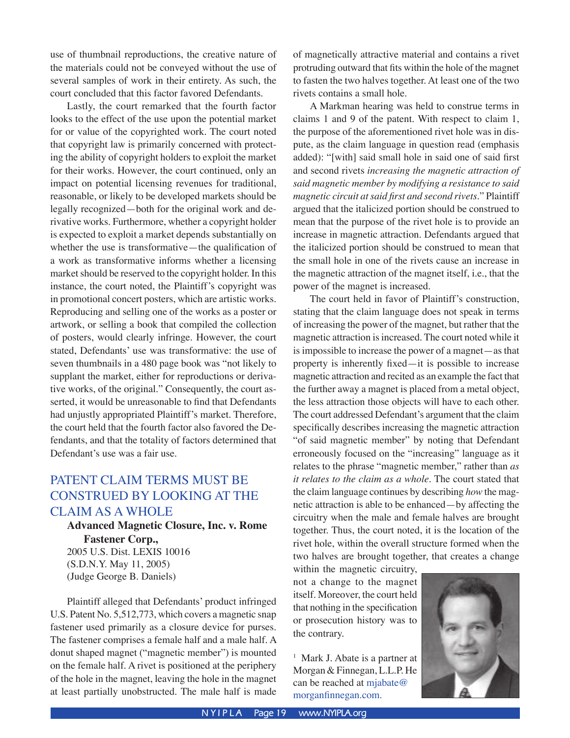use of thumbnail reproductions, the creative nature of the materials could not be conveyed without the use of several samples of work in their entirety. As such, the court concluded that this factor favored Defendants.

Lastly, the court remarked that the fourth factor looks to the effect of the use upon the potential market for or value of the copyrighted work. The court noted that copyright law is primarily concerned with protecting the ability of copyright holders to exploit the market for their works. However, the court continued, only an impact on potential licensing revenues for traditional, reasonable, or likely to be developed markets should be legally recognized—both for the original work and derivative works. Furthermore, whether a copyright holder is expected to exploit a market depends substantially on whether the use is transformative—the qualification of a work as transformative informs whether a licensing market should be reserved to the copyright holder. In this instance, the court noted, the Plaintiff's copyright was in promotional concert posters, which are artistic works. Reproducing and selling one of the works as a poster or artwork, or selling a book that compiled the collection of posters, would clearly infringe. However, the court stated, Defendants' use was transformative: the use of seven thumbnails in a 480 page book was "not likely to supplant the market, either for reproductions or derivative works, of the original." Consequently, the court asserted, it would be unreasonable to find that Defendants had unjustly appropriated Plaintiff's market. Therefore, the court held that the fourth factor also favored the Defendants, and that the totality of factors determined that Defendant's use was a fair use.

# PATENT CLAIM TERMS MUST BE CONSTRUED BY LOOKING AT THE CLAIM AS A WHOLE

## **Advanced Magnetic Closure, Inc. v. Rome Fastener Corp.,**  2005 U.S. Dist. LEXIS 10016

(S.D.N.Y. May 11, 2005) (Judge George B. Daniels)

Plaintiff alleged that Defendants' product infringed U.S. Patent No. 5,512,773, which covers a magnetic snap fastener used primarily as a closure device for purses. The fastener comprises a female half and a male half. A donut shaped magnet ("magnetic member") is mounted on the female half. A rivet is positioned at the periphery of the hole in the magnet, leaving the hole in the magnet at least partially unobstructed. The male half is made of magnetically attractive material and contains a rivet protruding outward that fits within the hole of the magnet to fasten the two halves together. At least one of the two rivets contains a small hole.

A Markman hearing was held to construe terms in claims 1 and 9 of the patent. With respect to claim 1, the purpose of the aforementioned rivet hole was in dispute, as the claim language in question read (emphasis added): "[with] said small hole in said one of said first and second rivets *increasing the magnetic attraction of said magnetic member by modifying a resistance to said magnetic circuit at said first and second rivets*." Plaintiff argued that the italicized portion should be construed to mean that the purpose of the rivet hole is to provide an increase in magnetic attraction. Defendants argued that the italicized portion should be construed to mean that the small hole in one of the rivets cause an increase in the magnetic attraction of the magnet itself, i.e., that the power of the magnet is increased.

The court held in favor of Plaintiff's construction, stating that the claim language does not speak in terms of increasing the power of the magnet, but rather that the magnetic attraction is increased. The court noted while it is impossible to increase the power of a magnet—as that property is inherently fixed—it is possible to increase magnetic attraction and recited as an example the fact that the further away a magnet is placed from a metal object, the less attraction those objects will have to each other. The court addressed Defendant's argument that the claim specifically describes increasing the magnetic attraction "of said magnetic member" by noting that Defendant erroneously focused on the "increasing" language as it relates to the phrase "magnetic member," rather than *as it relates to the claim as a whole*. The court stated that the claim language continues by describing *how* the magnetic attraction is able to be enhanced—by affecting the circuitry when the male and female halves are brought together. Thus, the court noted, it is the location of the rivet hole, within the overall structure formed when the two halves are brought together, that creates a change

within the magnetic circuitry, not a change to the magnet itself. Moreover, the court held that nothing in the specification or prosecution history was to the contrary.

<sup>1</sup> Mark J. Abate is a partner at Morgan & Finnegan, L.L.P. He can be reached at mjabate@ morganfinnegan.com.